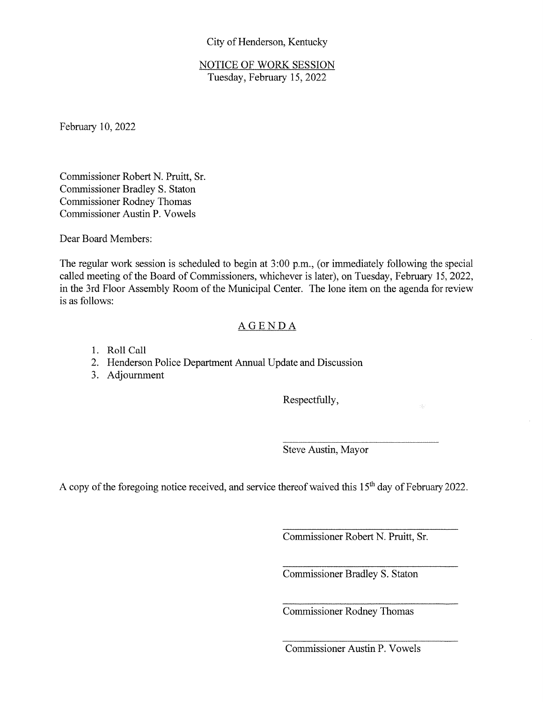## City of Henderson, Kentucky

NOTICE OF WORK SESSION Tuesday, February 15, 2022

Febmary 10, 2022

Commissioner Robert N. Pruitt, Sr. Comrnissioner Bradley S. Staton Cornmissioner Rodney Thomas Commissioner Austin P. Vowels

Dear Board Members:

The regular work session is scheduled to begin at 3:00 p.m., (or immediately following the special called meeting of the Board of Commissioners, whichever is later), on Tuesday, February 15, 2022, in the 3rd Floor Assembly Room of the Municipal Center. The lone item on the agenda for review is as follows:

## AGENDA

- 1. Roll Call
- 2. Henderson Police Department Annual Update and Discussion
- 3. Adjournment

Respectfully,

Steve Austin, Mayor

A copy of the foregoing notice received, and service thereof waived this 15<sup>th</sup> day of February 2022.

Commissioner Robert N. Pruitt, Sr.

Commissioner Bradley S. Staton

Commissioner Rodney Thomas

Commissioner Austin P. Vowels